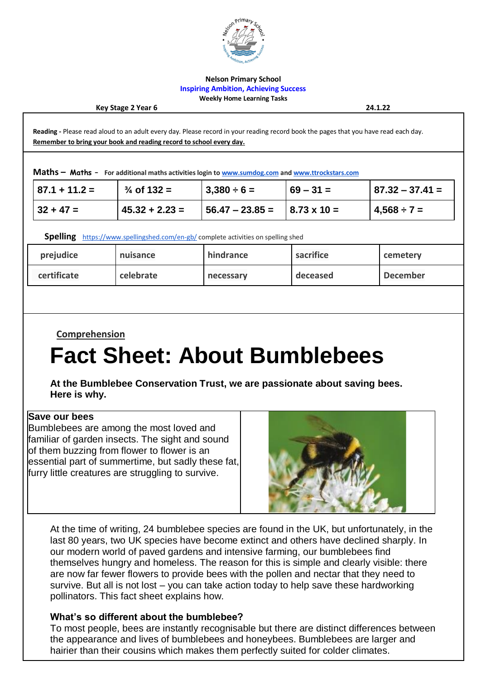

#### **Nelson Primary School Inspiring Ambition, Achieving Success Weekly Home Learning Tasks**

**Key Stage 2 Year 6 24.1.22**

**Reading -** Please read aloud to an adult every day. Please record in your reading record book the pages that you have read each day. **Remember to bring your book and reading record to school every day.**

**Maths – Maths – For additional maths activities login t[o www.sumdog.com](http://www.sumdog.com/) an[d www.ttrockstars.com](http://www.ttrockstars.com/)**

| $ 87.1 + 11.2 =$ | $\frac{3}{4}$ of 132 = | $3,380 \div 6 =$                                     | $ 69 - 31 $ | $ 87.32 - 37.41 $ |
|------------------|------------------------|------------------------------------------------------|-------------|-------------------|
| $ 32 + 47 =$     | $145.32 + 2.23 =$      | $\vert 56.47 - 23.85 = \vert 8.73 \times 10 = \vert$ |             | $14,568 \div 7 =$ |

**Spelling** <https://www.spellingshed.com/en-gb/> complete activities on spelling shed

| prejudice   | nuisance  | hindrance | sacrifice | cemetery        |
|-------------|-----------|-----------|-----------|-----------------|
| certificate | celebrate | necessary | deceased  | <b>December</b> |

**Comprehension** 

# **Fact Sheet: About Bumblebees**

**At the Bumblebee Conservation Trust, we are passionate about saving bees. Here is why.**

#### **Save our bees**

Bumblebees are among the most loved and familiar of garden insects. The sight and sound of them buzzing from flower to flower is an essential part of summertime, but sadly these fat, furry little creatures are struggling to survive.



At the time of writing, 24 bumblebee species are found in the UK, but unfortunately, in the last 80 years, two UK species have become extinct and others have declined sharply. In our modern world of paved gardens and intensive farming, our bumblebees find themselves hungry and homeless. The reason for this is simple and clearly visible: there are now far fewer flowers to provide bees with the pollen and nectar that they need to survive. But all is not lost – you can take action today to help save these hardworking pollinators. This fact sheet explains how.

#### **What's so different about the bumblebee?**

To most people, bees are instantly recognisable but there are distinct differences between the appearance and lives of bumblebees and honeybees. Bumblebees are larger and hairier than their cousins which makes them perfectly suited for colder climates.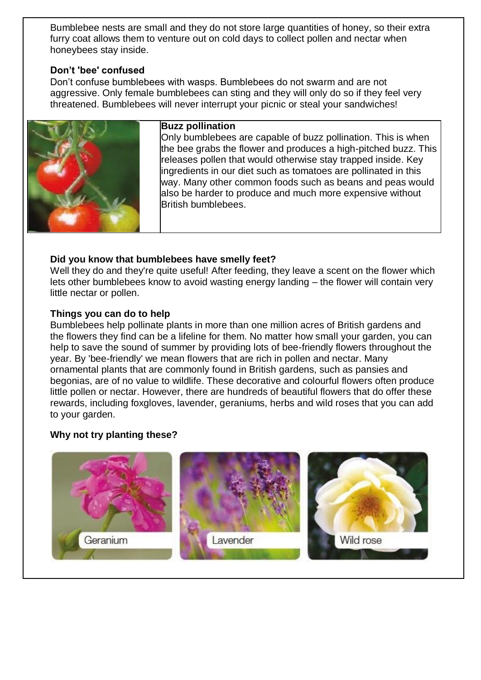Bumblebee nests are small and they do not store large quantities of honey, so their extra furry coat allows them to venture out on cold days to collect pollen and nectar when honeybees stay inside.

### **Don't 'bee' confused**

Don't confuse bumblebees with wasps. Bumblebees do not swarm and are not aggressive. Only female bumblebees can sting and they will only do so if they feel very threatened. Bumblebees will never interrupt your picnic or steal your sandwiches!



#### **Buzz pollination**

Only bumblebees are capable of buzz pollination. This is when the bee grabs the flower and produces a high-pitched buzz. This releases pollen that would otherwise stay trapped inside. Key ingredients in our diet such as tomatoes are pollinated in this way. Many other common foods such as beans and peas would also be harder to produce and much more expensive without British bumblebees.

### **Did you know that bumblebees have smelly feet?**

Well they do and they're quite useful! After feeding, they leave a scent on the flower which lets other bumblebees know to avoid wasting energy landing – the flower will contain very little nectar or pollen.

#### **Things you can do to help**

Bumblebees help pollinate plants in more than one million acres of British gardens and the flowers they find can be a lifeline for them. No matter how small your garden, you can help to save the sound of summer by providing lots of bee-friendly flowers throughout the year. By 'bee-friendly' we mean flowers that are rich in pollen and nectar. Many ornamental plants that are commonly found in British gardens, such as pansies and begonias, are of no value to wildlife. These decorative and colourful flowers often produce little pollen or nectar. However, there are hundreds of beautiful flowers that do offer these rewards, including foxgloves, lavender, geraniums, herbs and wild roses that you can add to your garden.

## **Why not try planting these?**

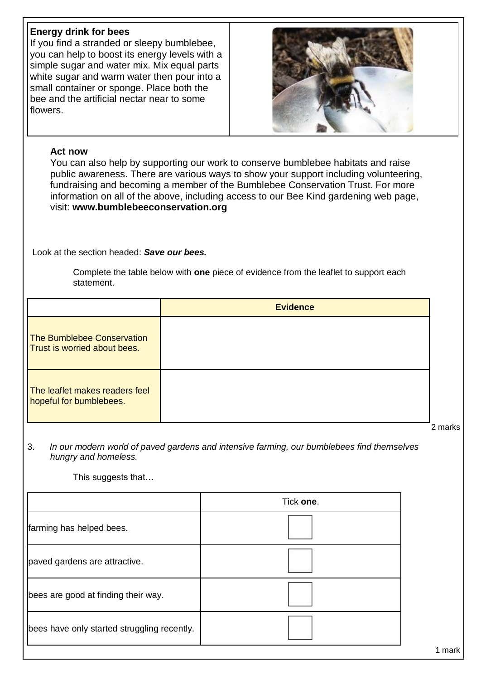# **Energy drink for bees**

If you find a stranded or sleepy bumblebee, you can help to boost its energy levels with a simple sugar and water mix. Mix equal parts white sugar and warm water then pour into a small container or sponge. Place both the bee and the artificial nectar near to some flowers.



#### **Act now**

You can also help by supporting our work to conserve bumblebee habitats and raise public awareness. There are various ways to show your support including volunteering, fundraising and becoming a member of the Bumblebee Conservation Trust. For more information on all of the above, including access to our Bee Kind gardening web page, visit: **www.bumblebeeconservation.org**

Look at the section headed: *Save our bees.*

Complete the table below with **one** piece of evidence from the leaflet to support each statement.

|                                                                          | <b>Evidence</b> |  |
|--------------------------------------------------------------------------|-----------------|--|
| <b>The Bumblebee Conservation</b><br><b>Trust is worried about bees.</b> |                 |  |
| The leaflet makes readers feel<br>hopeful for bumblebees.                |                 |  |

2 marks

1 mark

3. *In our modern world of paved gardens and intensive farming, our bumblebees find themselves hungry and homeless.*

This suggests that…

|                                             | Tick one. |
|---------------------------------------------|-----------|
| farming has helped bees.                    |           |
| paved gardens are attractive.               |           |
| bees are good at finding their way.         |           |
| bees have only started struggling recently. |           |